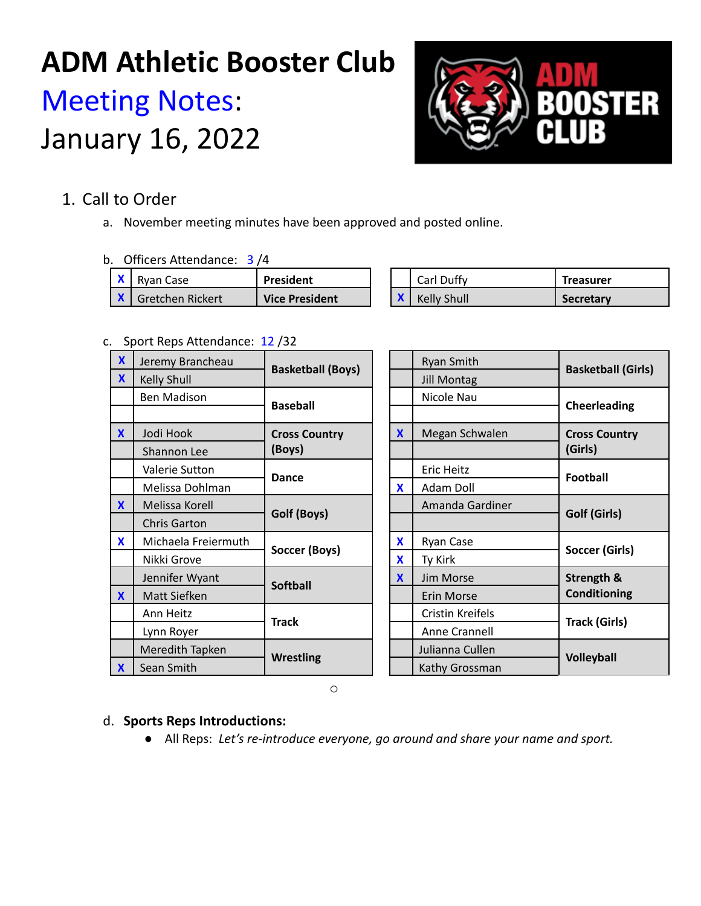# **ADM Athletic Booster Club** Meeting Notes: January 16, 2022



# 1. Call to Order

a. November meeting minutes have been approved and posted online.

### b. Officers Attendance: 3 /4

| Rvan Case        | President             |  | Carl Duffy  | Treasurer        |
|------------------|-----------------------|--|-------------|------------------|
| Gretchen Rickert | <b>Vice President</b> |  | Kelly Shull | <b>Secretary</b> |

### c. Sport Reps Attendance: 12 /32

| $\boldsymbol{\mathsf{X}}$ | Jeremy Brancheau    | <b>Basketball (Boys)</b> |                           | <b>Ryan Smith</b><br><b>Jill Montag</b> |                           |
|---------------------------|---------------------|--------------------------|---------------------------|-----------------------------------------|---------------------------|
| $\mathbf x$               | Kelly Shull         |                          |                           |                                         | <b>Basketball (Girls)</b> |
|                           | <b>Ben Madison</b>  | <b>Baseball</b>          |                           | Nicole Nau                              | Cheerleading              |
|                           |                     |                          |                           |                                         |                           |
| $\mathbf{x}$              | Jodi Hook           | <b>Cross Country</b>     | $\boldsymbol{\mathsf{X}}$ | Megan Schwalen                          | <b>Cross Country</b>      |
|                           | Shannon Lee         | (Boys)                   |                           |                                         | (Girls)                   |
|                           | Valerie Sutton      | <b>Dance</b>             |                           | Eric Heitz                              | Football                  |
|                           | Melissa Dohlman     |                          | $\mathbf{x}$              | Adam Doll                               |                           |
| $\mathbf{X}$              | Melissa Korell      | Golf (Boys)              |                           | Amanda Gardiner                         | Golf (Girls)              |
|                           | <b>Chris Garton</b> |                          |                           |                                         |                           |
| $\mathbf{x}$              | Michaela Freiermuth | Soccer (Boys)            | X                         | Ryan Case                               | Soccer (Girls)            |
|                           | Nikki Grove         |                          | X                         | Ty Kirk                                 |                           |
|                           | Jennifer Wyant      | <b>Softball</b>          | $\mathbf{x}$              | Jim Morse                               | <b>Strength &amp;</b>     |
| $\mathbf{x}$              | Matt Siefken        |                          |                           | Erin Morse                              | <b>Conditioning</b>       |
|                           | Ann Heitz           | <b>Track</b>             |                           | Cristin Kreifels                        | <b>Track (Girls)</b>      |
|                           | Lynn Royer          |                          |                           | Anne Crannell                           |                           |
|                           | Meredith Tapken     | <b>Wrestling</b>         |                           | Julianna Cullen                         | <b>Volleyball</b>         |
| $\mathbf{x}$              | Sean Smith          |                          |                           | Kathy Grossman                          |                           |

o

## d. **Sports Reps Introductions:**

● All Reps: *Let's re-introduce everyone, go around and share your name and sport.*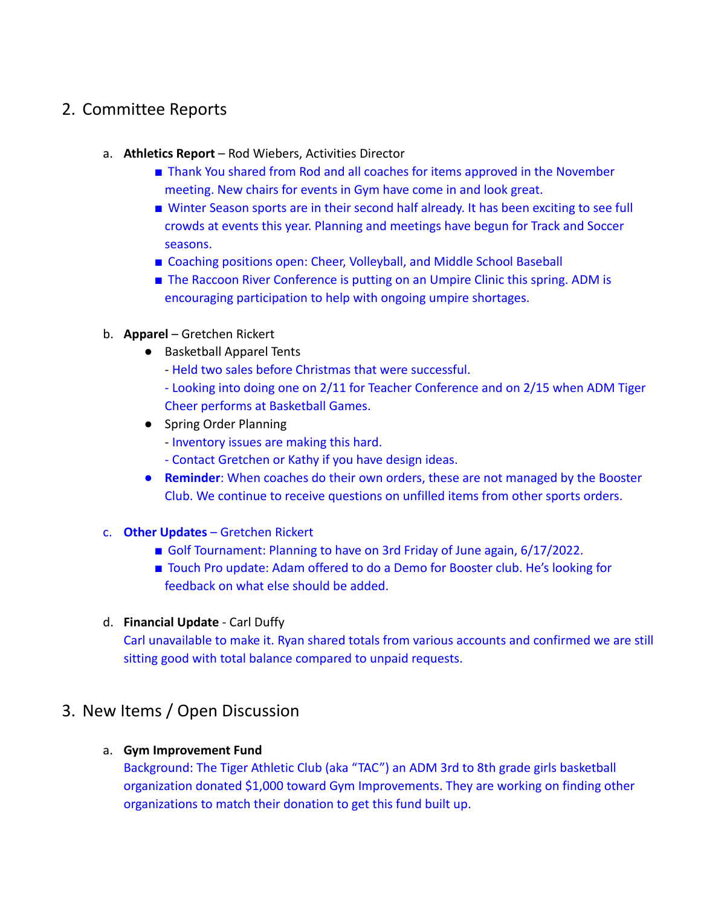## 2. Committee Reports

- a. **Athletics Report** Rod Wiebers, Activities Director
	- Thank You shared from Rod and all coaches for items approved in the November meeting. New chairs for events in Gym have come in and look great.
	- Winter Season sports are in their second half already. It has been exciting to see full crowds at events this year. Planning and meetings have begun for Track and Soccer seasons.
	- Coaching positions open: Cheer, Volleyball, and Middle School Baseball
	- The Raccoon River Conference is putting on an Umpire Clinic this spring. ADM is encouraging participation to help with ongoing umpire shortages.
- b. **Apparel** Gretchen Rickert
	- Basketball Apparel Tents
		- Held two sales before Christmas that were successful.
		- Looking into doing one on 2/11 for Teacher Conference and on 2/15 when ADM Tiger Cheer performs at Basketball Games.
	- Spring Order Planning
		- Inventory issues are making this hard.
		- Contact Gretchen or Kathy if you have design ideas.
	- **Reminder**: When coaches do their own orders, these are not managed by the Booster Club. We continue to receive questions on unfilled items from other sports orders.
- c. **Other Updates** Gretchen Rickert
	- Golf Tournament: Planning to have on 3rd Friday of June again, 6/17/2022.
	- Touch Pro update: Adam offered to do a Demo for Booster club. He's looking for feedback on what else should be added.
- d. **Financial Update** Carl Duffy

Carl unavailable to make it. Ryan shared totals from various accounts and confirmed we are still sitting good with total balance compared to unpaid requests.

## 3. New Items / Open Discussion

### a. **Gym Improvement Fund**

Background: The Tiger Athletic Club (aka "TAC") an ADM 3rd to 8th grade girls basketball organization donated \$1,000 toward Gym Improvements. They are working on finding other organizations to match their donation to get this fund built up.